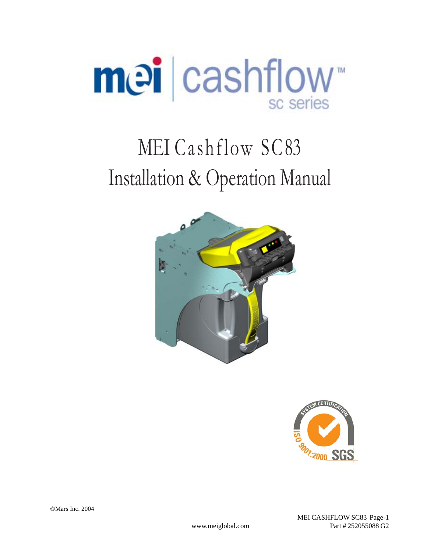

# MEI Cashflow SC83 Installation & Operation Manual





 MEI CASHFLOW SC83 Page-1 www.meiglobal.com Part # 252055088 G2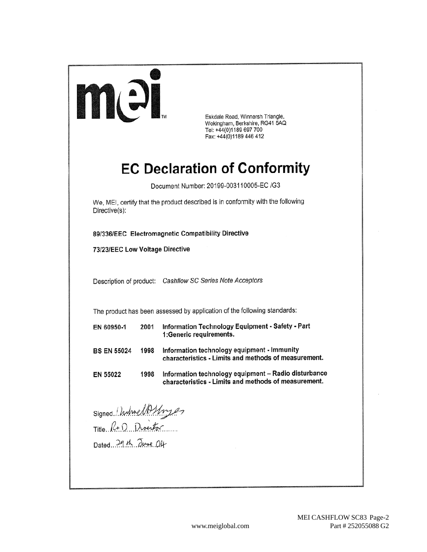

Eskdale Road, Winnersh Triangle, Wokingham, Berkshire, RG41 5AQ Tel: +44(0)1189 697 700 Fax: +44(0)1189 446 412

# **EC Declaration of Conformity**

Document Number: 20199-003110005-EC /G3

We, MEI, certify that the product described is in conformity with the following Directive(s):

89/336/EEC Electromagnetic Compatibility Directive

73/23/EEC Low Voltage Directive

Description of product: Cashflow SC Series Note Acceptors

The product has been assessed by application of the following standards:

| EN 60950-1         | 2001 | Information Technology Equipment - Safety - Part<br>1: Generic requirements.                        |
|--------------------|------|-----------------------------------------------------------------------------------------------------|
| <b>BS EN 55024</b> | 1998 | Information technology equipment - Immunity<br>characteristics - Limits and methods of measurement. |
| EN 55022           | 1998 | Information technology equipment - Radio disturbance                                                |

characteristics - Limits and methods of measurement.

Signed Individual Title R+D Director

Dated 29th Tune 04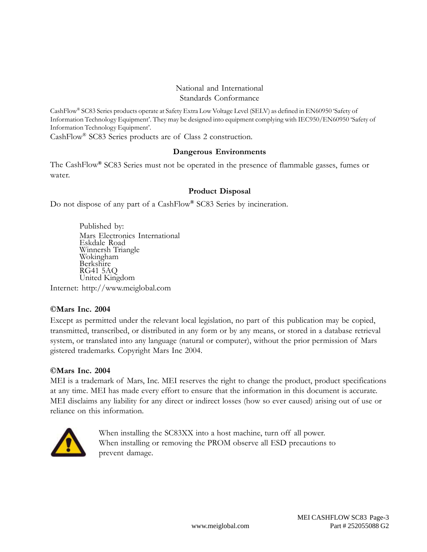#### National and International Standards Conformance

CashFlow® SC83 Series products operate at Safety Extra Low Voltage Level (SELV) as defined in EN60950 'Safety of Information Technology Equipment'. They may be designed into equipment complying with IEC950/EN60950 'Safety of Information Technology Equipment'.

CashFlow® SC83 Series products are of Class 2 construction.

#### **Dangerous Environments**

The CashFlow**®** SC83 Series must not be operated in the presence of flammable gasses, fumes or water.

#### **Product Disposal**

Do not dispose of any part of a CashFlow**®** SC83 Series by incineration.

Published by: Mars Electronics International Eskdale Road Winnersh Triangle Wokingham Berkshire RG41 5AQ United Kingdom

Internet: http://www.meiglobal.com

#### **©Mars Inc. 2004**

Except as permitted under the relevant local legislation, no part of this publication may be copied, transmitted, transcribed, or distributed in any form or by any means, or stored in a database retrieval system, or translated into any language (natural or computer), without the prior permission of Mars gistered trademarks. Copyright Mars Inc 2004.

#### **©Mars Inc. 2004**

MEI is a trademark of Mars, Inc. MEI reserves the right to change the product, product specifications at any time. MEI has made every effort to ensure that the information in this document is accurate. MEI disclaims any liability for any direct or indirect losses (how so ever caused) arising out of use or reliance on this information.



When installing the SC83XX into a host machine, turn off all power. When installing or removing the PROM observe all ESD precautions to prevent damage.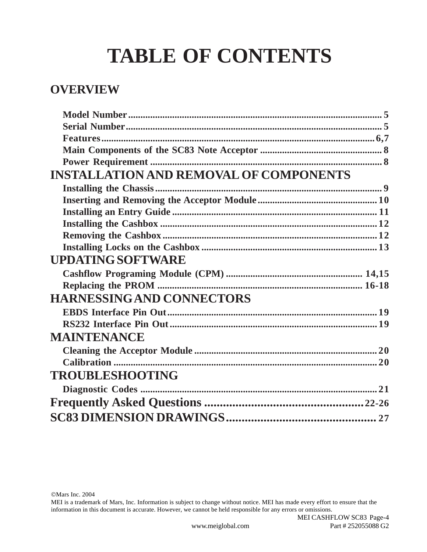# **TABLE OF CONTENTS**

# **OVERVIEW**

| <b>INSTALLATION AND REMOVAL OF COMPONENTS</b> |  |
|-----------------------------------------------|--|
|                                               |  |
|                                               |  |
|                                               |  |
|                                               |  |
|                                               |  |
|                                               |  |
| <b>UPDATING SOFTWARE</b>                      |  |
|                                               |  |
|                                               |  |
| <b>HARNESSING AND CONNECTORS</b>              |  |
|                                               |  |
|                                               |  |
| <b>MAINTENANCE</b>                            |  |
|                                               |  |
|                                               |  |
| <b>TROUBLESHOOTING</b>                        |  |
|                                               |  |
|                                               |  |
|                                               |  |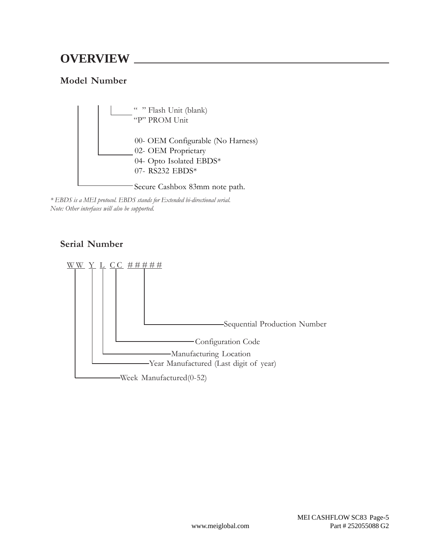### **Model Number**



*\* EBDS is a MEI protocol. EBDS stands for Extended bi-directional serial. Note: Other interfaces will also be supported.*

### **Serial Number**

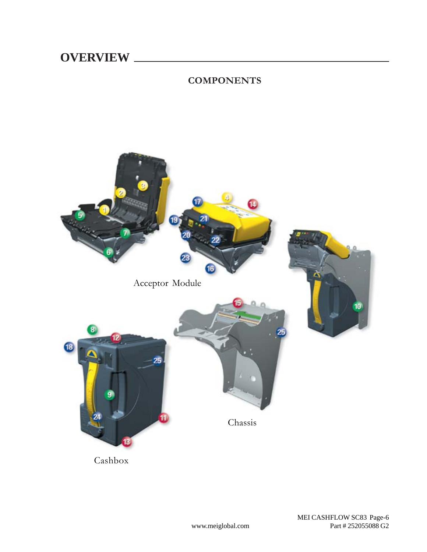l,

### **COMPONENTS**



www.meiglobal.com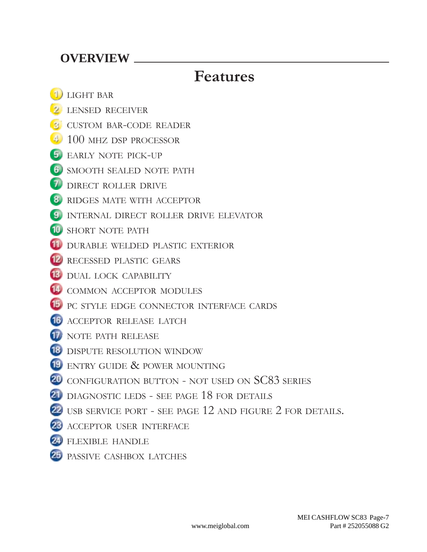# **Features**

- **1)** LIGHT BAR
- **2** LENSED RECEIVER
- **CUSTOM BAR-CODE READER**
- **100 MHZ DSP PROCESSOR**
- EARLY NOTE PICK-UP
- **6** SMOOTH SEALED NOTE PATH
- **7** DIRECT ROLLER DRIVE
- **8** RIDGES MATE WITH ACCEPTOR
- **II** INTERNAL DIRECT ROLLER DRIVE ELEVATOR
- 10 SHORT NOTE PATH
- **11** DURABLE WELDED PLASTIC EXTERIOR
- **12** RECESSED PLASTIC GEARS
- **B** DUAL LOCK CAPABILITY
- **14 COMMON ACCEPTOR MODULES**
- **15** PC STYLE EDGE CONNECTOR INTERFACE CARDS
- **16** ACCEPTOR RELEASE LATCH
- **17** NOTE PATH RELEASE
- **18** DISPUTE RESOLUTION WINDOW
- **19** ENTRY GUIDE & POWER MOUNTING
- 20 CONFIGURATION BUTTON NOT USED ON SC83 SERIES
- 21 DIAGNOSTIC LEDS SEE PAGE 18 FOR DETAILS
- 22 USB SERVICE PORT SEE PAGE 12 AND FIGURE 2 FOR DETAILS.
- 23 ACCEPTOR USER INTERFACE
- 24 FLEXIBLE HANDLE
- PASSIVE CASHBOX LATCHES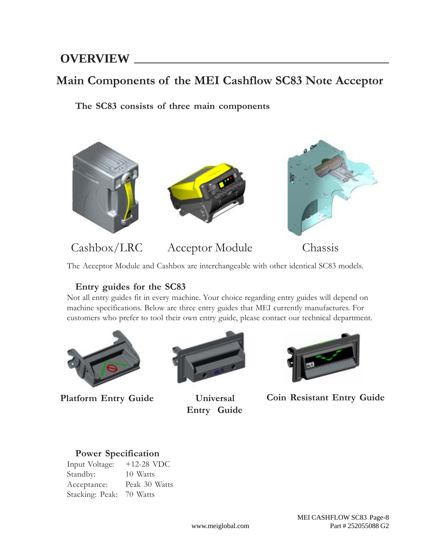## **Main Components of the MEI Cashflow SC83 Note Acceptor**

**The SC83 consists of three main components**



Cashbox/LRC Acceptor Module Chassis

The Acceptor Module and Cashbox are interchangeable with other identical SC83 models.

### **Entry guides for the SC83**

Not all entry guides fit in every machine. Your choice regarding entry guides will depend on machine specifications. Below are three entry guides that MEI currently manufactures. For customers who prefer to tool their own entry guide, please contact our technical department.



**Platform Entry Guide**



 **Universal Entry Guide**



**Coin Resistant Entry Guide**

### **Power Specification**

Input Voltage: +12-28 VDC Standby: 10 Watts Acceptance: Peak 30 Watts Stacking: Peak: 70 Watts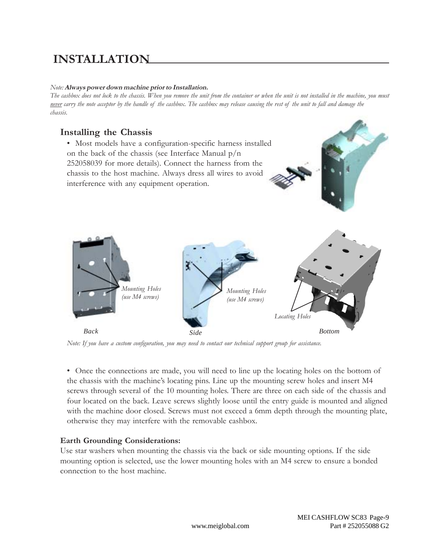#### *Note:* **Always power down machine prior to Installation.**

*The cashbox does not lock to the chassis. When you remove the unit from the container or when the unit is not installed in the machine, you must never carry the note acceptor by the handle of the cashbox. The cashbox may release causing the rest of the unit to fall and damage the chassis.*

### **Installing the Chassis**



*Note: If you have a custom configuration, you may need to contact our technical support group for assistance.*

• Once the connections are made, you will need to line up the locating holes on the bottom of the chassis with the machine's locating pins. Line up the mounting screw holes and insert M4 screws through several of the 10 mounting holes. There are three on each side of the chassis and four located on the back. Leave screws slightly loose until the entry guide is mounted and aligned with the machine door closed. Screws must not exceed a 6mm depth through the mounting plate, otherwise they may interfere with the removable cashbox.

#### **Earth Grounding Considerations:**

Use star washers when mounting the chassis via the back or side mounting options. If the side mounting option is selected, use the lower mounting holes with an M4 screw to ensure a bonded connection to the host machine.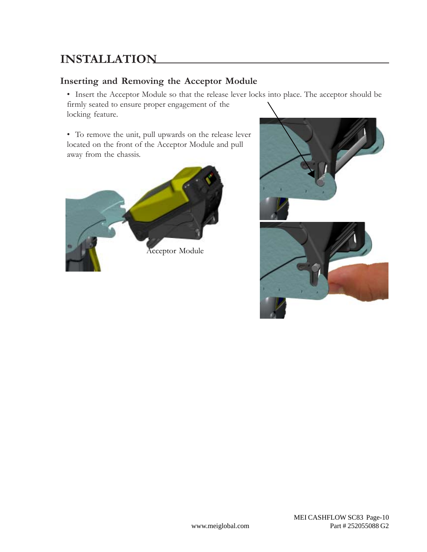### **Inserting and Removing the Acceptor Module**

• Insert the Acceptor Module so that the release lever locks into place. The acceptor should be firmly seated to ensure proper engagement of the locking feature.

• To remove the unit, pull upwards on the release lever located on the front of the Acceptor Module and pull away from the chassis.



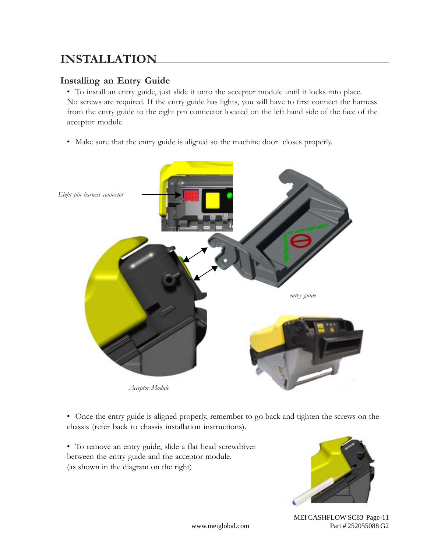### **Installing an Entry Guide**

• To install an entry guide, just slide it onto the acceptor module until it locks into place. No screws are required. If the entry guide has lights, you will have to first connect the harness from the entry guide to the eight pin connector located on the left hand side of the face of the acceptor module.

• Make sure that the entry guide is aligned so the machine door closes properly.



• Once the entry guide is aligned properly, remember to go back and tighten the screws on the chassis (refer back to chassis installation instructions).

• To remove an entry guide, slide a flat head screwdriver between the entry guide and the acceptor module. (as shown in the diagram on the right)



 MEI CASHFLOW SC83 Page-11 www.meiglobal.com Part # 252055088 G2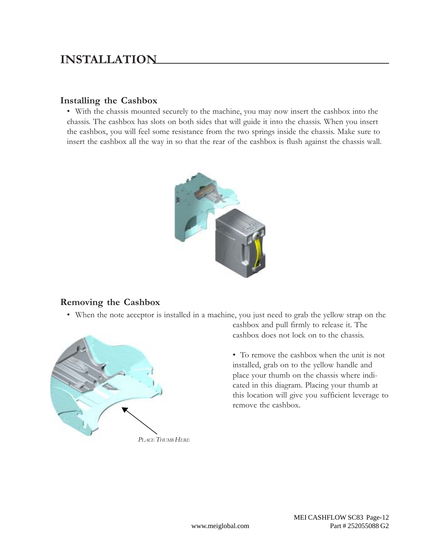### **Installing the Cashbox**

• With the chassis mounted securely to the machine, you may now insert the cashbox into the chassis. The cashbox has slots on both sides that will guide it into the chassis. When you insert the cashbox, you will feel some resistance from the two springs inside the chassis. Make sure to insert the cashbox all the way in so that the rear of the cashbox is flush against the chassis wall.



### **Removing the Cashbox**

• When the note acceptor is installed in a machine, you just need to grab the yellow strap on the



cashbox and pull firmly to release it. The cashbox does not lock on to the chassis.

• To remove the cashbox when the unit is not installed, grab on to the yellow handle and place your thumb on the chassis where indicated in this diagram. Placing your thumb at this location will give you sufficient leverage to remove the cashbox.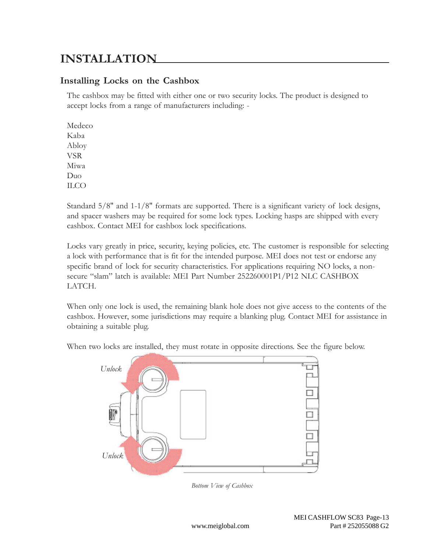### **Installing Locks on the Cashbox**

The cashbox may be fitted with either one or two security locks. The product is designed to accept locks from a range of manufacturers including: -

Medeco Kaba Abloy VSR Miwa Duo ILCO

Standard 5/8" and 1-1/8" formats are supported. There is a significant variety of lock designs, and spacer washers may be required for some lock types. Locking hasps are shipped with every cashbox. Contact MEI for cashbox lock specifications.

Locks vary greatly in price, security, keying policies, etc. The customer is responsible for selecting a lock with performance that is fit for the intended purpose. MEI does not test or endorse any specific brand of lock for security characteristics. For applications requiring NO locks, a nonsecure "slam" latch is available: MEI Part Number 252260001P1/P12 NLC CASHBOX LATCH.

When only one lock is used, the remaining blank hole does not give access to the contents of the cashbox. However, some jurisdictions may require a blanking plug. Contact MEI for assistance in obtaining a suitable plug.

*Unlock Unlock*

When two locks are installed, they must rotate in opposite directions. See the figure below.

*Bottom View of Cashbox*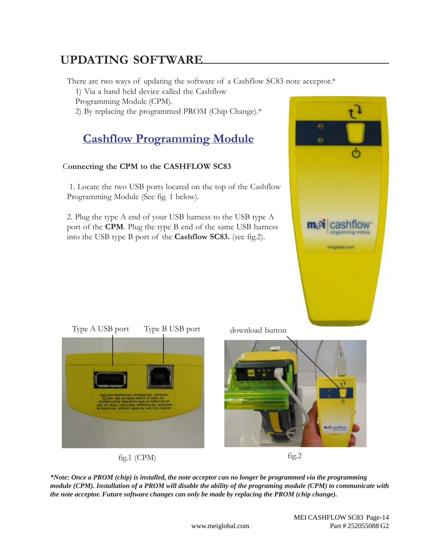There are two ways of updating the software of a Cashflow SC83 note acceptor.\*

1) Via a hand held device called the Cashflow

Programming Module (CPM).

2) By replacing the programmed PROM (Chip Change).\*

# **Cashflow Programming Module**

### C**onnecting the CPM to the CASHFLOW SC83**

 1. Locate the two USB ports located on the top of the Cashflow Programming Module (See fig. 1 below).

2. Plug the type A end of your USB harness to the USB type A port of the **CPM**. Plug the type B end of the same USB harness into the USB type B port of the **Cashflow SC83.** (see fig.2).





fig.1 (CPM)

download button





*\*Note: Once a PROM (chip) is installed, the note acceptor can no longer be programmed via the programming module (CPM). Installation of a PROM will disable the ability of the programing module (CPM) to communicate with the note acceptor. Future software changes can only be made by replacing the PROM (chip change).*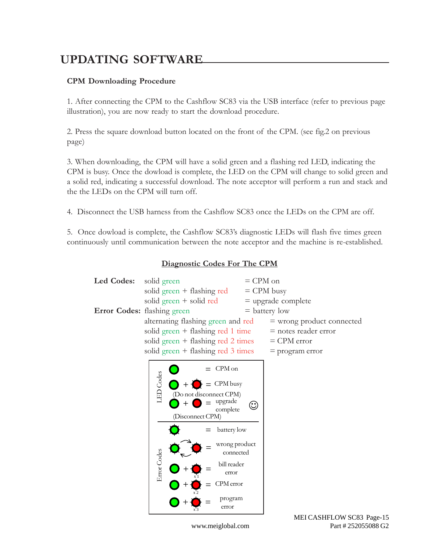#### **CPM Downloading Procedure**

1. After connecting the CPM to the Cashflow SC83 via the USB interface (refer to previous page illustration), you are now ready to start the download procedure.

2. Press the square download button located on the front of the CPM. (see fig.2 on previous page)

3. When downloading, the CPM will have a solid green and a flashing red LED, indicating the CPM is busy. Once the dowload is complete, the LED on the CPM will change to solid green and a solid red, indicating a successful download. The note acceptor will perform a run and stack and the the LEDs on the CPM will turn off.

4. Disconnect the USB harness from the Cashflow SC83 once the LEDs on the CPM are off.

5. Once dowload is complete, the Cashflow SC83's diagnostic LEDs will flash five times green continuously until communication between the note acceptor and the machine is re-established.



**Diagnostic Codes For The CPM**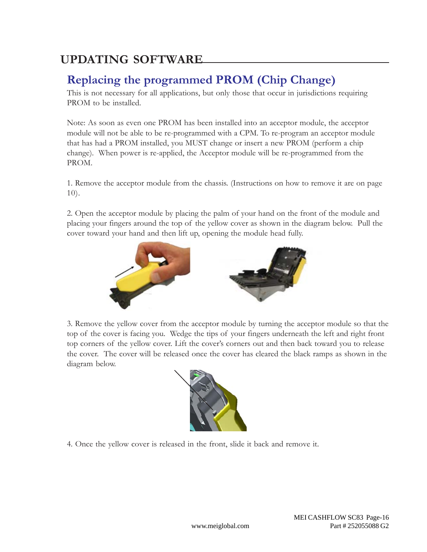# **Replacing the programmed PROM (Chip Change)**

This is not necessary for all applications, but only those that occur in jurisdictions requiring PROM to be installed.

Note: As soon as even one PROM has been installed into an acceptor module, the acceptor module will not be able to be re-programmed with a CPM. To re-program an acceptor module that has had a PROM installed, you MUST change or insert a new PROM (perform a chip change). When power is re-applied, the Acceptor module will be re-programmed from the PROM.

1. Remove the acceptor module from the chassis. (Instructions on how to remove it are on page 10).

2. Open the acceptor module by placing the palm of your hand on the front of the module and placing your fingers around the top of the yellow cover as shown in the diagram below. Pull the cover toward your hand and then lift up, opening the module head fully.



3. Remove the yellow cover from the acceptor module by turning the acceptor module so that the top of the cover is facing you. Wedge the tips of your fingers underneath the left and right front top corners of the yellow cover. Lift the cover's corners out and then back toward you to release the cover. The cover will be released once the cover has cleared the black ramps as shown in the diagram below.



4. Once the yellow cover is released in the front, slide it back and remove it.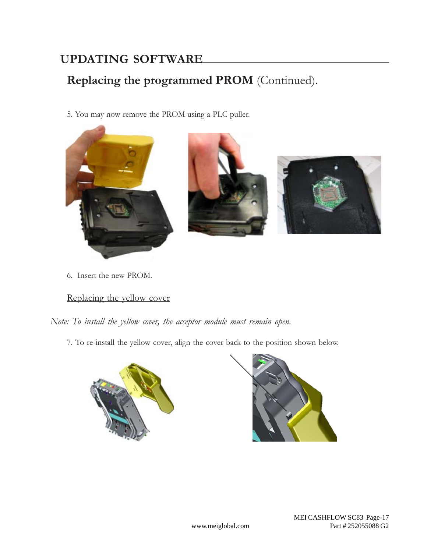# **Replacing the programmed PROM** (Continued).

5. You may now remove the PROM using a PLC puller.



6. Insert the new PROM.

### Replacing the yellow cover

*Note: To install the yellow cover, the acceptor module must remain open.*

7. To re-install the yellow cover, align the cover back to the position shown below.



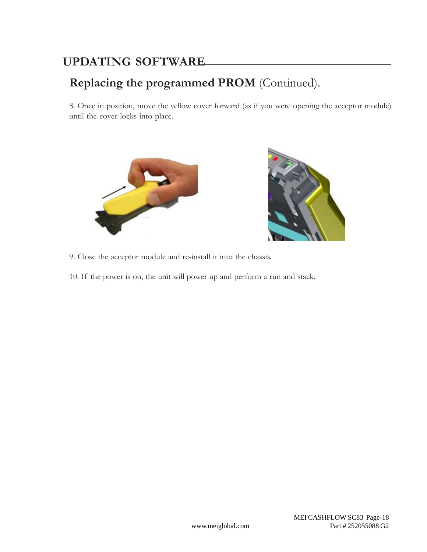# **Replacing the programmed PROM** (Continued).

8. Once in position, move the yellow cover forward (as if you were opening the acceptor module) until the cover locks into place.





9. Close the acceptor module and re-install it into the chassis.

10. If the power is on, the unit will power up and perform a run and stack.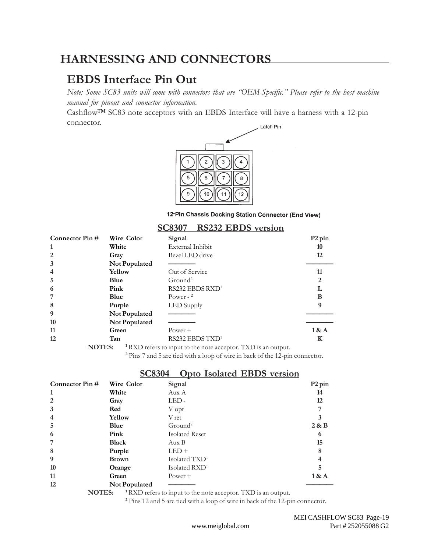### **HARNESSING AND CONNECTORS**

### **EBDS Interface Pin Out**

*Note: Some SC83 units will come with connectors that are "OEM-Specific." Please refer to the host machine manual for pinout and connector information.*

Cashflow™ SC83 note acceptors with an EBDS Interface will have a harness with a 12-pin connector. Latch Pin



12-Pin Chassis Docking Station Connector (End View)

|                |               | <u>JCOJUT</u><br><b>NOZUL LIDIUS VEISIUII</b> |                    |
|----------------|---------------|-----------------------------------------------|--------------------|
| Connector Pin# | Wire Color    | Signal                                        | P <sub>2</sub> pin |
| 1              | White         | External Inhibit                              | 10                 |
| 2              | Gray          | Bezel LED drive                               | 12                 |
| 3              | Not Populated |                                               |                    |
| $\overline{4}$ | Yellow        | Out of Service                                | 11                 |
| 5              | Blue          | $G$ round <sup>2</sup>                        |                    |
| 6              | Pink          | RS232 EBDS RXD <sup>1</sup>                   |                    |
| 7              | Blue          | Power - $2$                                   | B                  |
| 8              | Purple        | LED Supply                                    | 9                  |
| 9              | Not Populated |                                               |                    |
| 10             | Not Populated |                                               |                    |
| 11             | Green         | $Power +$                                     | 1 & A              |
| 12             | Tan           | RS232 EBDS TXD <sup>1</sup>                   | K                  |

### **SC8307 RS232 EBDS version**

**NOTES: <sup>1</sup>** RXD refers to input to the note acceptor. TXD is an output.

Pins 7 and 5 are tied with a loop of wire in back of the 12-pin connector.

### **SC8304 Opto Isolated EBDS version**

| Wire Color    | Signal                    | P <sub>2</sub> pin |
|---------------|---------------------------|--------------------|
| White         | Aux A                     | 14                 |
| Gray          | LED-                      | 12                 |
| Red           | V opt                     |                    |
| Yellow        | V ret                     | 3                  |
| Blue          | $G$ round <sup>2</sup>    | 2 & B              |
| Pink          | <b>Isolated Reset</b>     | 6                  |
| <b>Black</b>  | Aux B                     | 15                 |
| Purple        | $LED +$                   | 8                  |
| <b>Brown</b>  | Isolated TXD <sup>1</sup> |                    |
| Orange        | Isolated RXD <sup>1</sup> | 5                  |
| Green         | $Power +$                 | 1 & A              |
| Not Populated |                           |                    |
|               |                           |                    |

**NOTES: <sup>1</sup>** RXD refers to input to the note acceptor. TXD is an output.

Pins 12 and 5 are tied with a loop of wire in back of the 12-pin connector.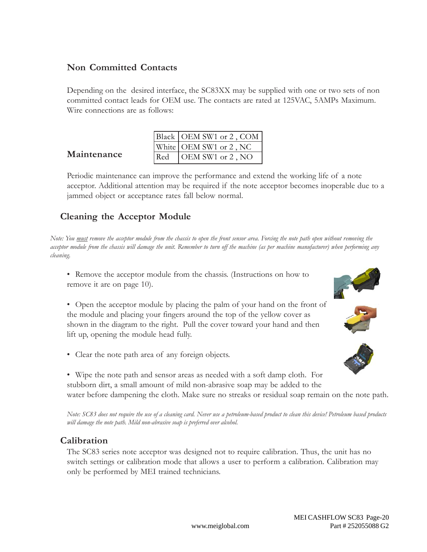### **Non Committed Contacts**

Depending on the desired interface, the SC83XX may be supplied with one or two sets of non committed contact leads for OEM use. The contacts are rated at 125VAC, 5AMPs Maximum. Wire connections are as follows:

|     | Black   OEM SW1 or 2, COM |
|-----|---------------------------|
|     | White   OEM SW1 or 2, NC  |
| Red | OEM SW1 or 2, NO          |

Periodic maintenance can improve the performance and extend the working life of a note acceptor. Additional attention may be required if the note acceptor becomes inoperable due to a jammed object or acceptance rates fall below normal.

### **Cleaning the Acceptor Module**

**Maintenance**

*Note: You must remove the acceptor module from the chassis to open the front sensor area. Forcing the note path open without removing the acceptor module from the chassis will damage the unit. Remember to turn off the machine (as per machine manufacturer) when performing any cleaning.*

- Remove the acceptor module from the chassis. (Instructions on how to remove it are on page 10).
- Open the acceptor module by placing the palm of your hand on the front of the module and placing your fingers around the top of the yellow cover as shown in the diagram to the right. Pull the cover toward your hand and then lift up, opening the module head fully.
- Clear the note path area of any foreign objects.
- Wipe the note path and sensor areas as needed with a soft damp cloth. For stubborn dirt, a small amount of mild non-abrasive soap may be added to the water before dampening the cloth. Make sure no streaks or residual soap remain on the note path.

*Note: SC83 does not require the use of a cleaning card. Never use a petroleum-based product to clean this device! Petroleum based products will damage the note path. Mild non-abrasive soap is preferred over alcohol.*

### **Calibration**

The SC83 series note acceptor was designed not to require calibration. Thus, the unit has no switch settings or calibration mode that allows a user to perform a calibration. Calibration may only be performed by MEI trained technicians.





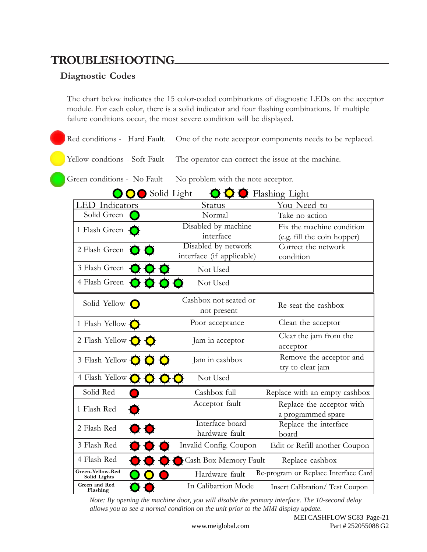### **TROUBLESHOOTING**

### **Diagnostic Codes**

The chart below indicates the 15 color-coded combinations of diagnostic LEDs on the acceptor module. For each color, there is a solid indicator and four flashing combinations. If multiple failure conditions occur, the most severe condition will be displayed.

Red conditions - Hard Fault. One of the note acceptor components needs to be replaced.

Yellow condtions - Soft Fault The operator can correct the issue at the machine.

Green conditions - No Fault No problem with the note acceptor.

| Solid Light<br>Flashing Light               |                                                  |                                                 |  |
|---------------------------------------------|--------------------------------------------------|-------------------------------------------------|--|
| LED Indicators                              | <b>Status</b>                                    | <u>You Need to</u>                              |  |
| Solid Green                                 | Normal                                           | Take no action                                  |  |
| 1 Flash Green                               | Disabled by machine                              | Fix the machine condition                       |  |
|                                             | interface                                        | (e.g. fill the coin hopper)                     |  |
| 2 Flash Green                               | Disabled by network<br>interface (if applicable) | Correct the network<br>condition                |  |
| 3 Flash Green                               | Not Used                                         |                                                 |  |
| 4 Flash Green                               | Not Used                                         |                                                 |  |
| Solid Yellow $\bigcirc$                     | Cashbox not seated or<br>not present             | Re-seat the cashbox                             |  |
| 1 Flash Yellow C                            | Poor acceptance                                  | Clean the acceptor                              |  |
| 2 Flash Yellow $\bigcirc$ $\bigcirc$        | Jam in acceptor                                  | Clear the jam from the<br>acceptor              |  |
| 3 Flash Yellow $\bigcirc \bigcirc \bigcirc$ | Jam in cashbox                                   | Remove the acceptor and<br>try to clear jam     |  |
| 4 Flash Yellow<br>$\bullet$                 | Not Used                                         |                                                 |  |
| Solid Red                                   | Cashbox full                                     | Replace with an empty cashbox                   |  |
| 1 Flash Red                                 | Acceptor fault                                   | Replace the acceptor with<br>a programmed spare |  |
| 2 Flash Red                                 | Interface board<br>hardware fault                | Replace the interface<br>board                  |  |
| 3 Flash Red                                 | Invalid Config. Coupon                           | Edit or Refill another Coupon                   |  |

*Note: By opening the machine door, you will disable the primary interface. The 10-second delay allows you to see a normal condition on the unit prior to the MMI display update.*

Hardware fault Re-program or Replace Interface Card

Replace cashbox

In Calibartion Mode Insert Calibration/ Test Coupon

4 Flash Red  $\bullet$   $\bullet$   $\bullet$  Cash Box Memory Fault

**Green-Yellow-Red Solid Lights Green and Red Flashing**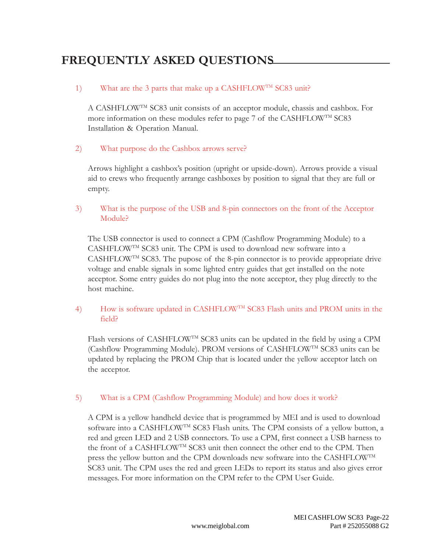#### 1) What are the 3 parts that make up a CASHFLOW<sup>TM</sup> SC83 unit?

A CASHFLOWTM SC83 unit consists of an acceptor module, chassis and cashbox. For more information on these modules refer to page 7 of the CASHFLOW<sup>TM</sup> SC83 Installation & Operation Manual.

#### 2) What purpose do the Cashbox arrows serve?

Arrows highlight a cashbox's position (upright or upside-down). Arrows provide a visual aid to crews who frequently arrange cashboxes by position to signal that they are full or empty.

#### 3) What is the purpose of the USB and 8-pin connectors on the front of the Acceptor Module?

The USB connector is used to connect a CPM (Cashflow Programming Module) to a CASHFLOWTM SC83 unit. The CPM is used to download new software into a CASHFLOWTM SC83. The pupose of the 8-pin connector is to provide appropriate drive voltage and enable signals in some lighted entry guides that get installed on the note acceptor. Some entry guides do not plug into the note acceptor, they plug directly to the host machine.

#### 4) How is software updated in CASHFLOW<sup>TM</sup> SC83 Flash units and PROM units in the field?

Flash versions of CASHFLOWTM SC83 units can be updated in the field by using a CPM (Cashflow Programming Module). PROM versions of CASHFLOWTM SC83 units can be updated by replacing the PROM Chip that is located under the yellow acceptor latch on the acceptor.

#### 5) What is a CPM (Cashflow Programming Module) and how does it work?

A CPM is a yellow handheld device that is programmed by MEI and is used to download software into a CASHFLOWTM SC83 Flash units. The CPM consists of a yellow button, a red and green LED and 2 USB connectors. To use a CPM, first connect a USB harness to the front of a CASHFLOWTM SC83 unit then connect the other end to the CPM. Then press the yellow button and the CPM downloads new software into the CASHFLOWTM SC83 unit. The CPM uses the red and green LEDs to report its status and also gives error messages. For more information on the CPM refer to the CPM User Guide.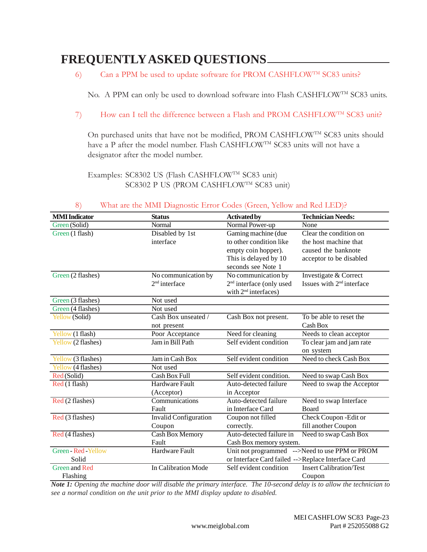6) Can a PPM be used to update software for PROM CASHFLOW<sup>TM</sup> SC83 units?

No. A PPM can only be used to download software into Flash CASHFLOW<sup>TM</sup> SC83 units.

7) How can I tell the difference between a Flash and PROM CASHFLOW<sup>TM</sup> SC83 unit?

On purchased units that have not be modified, PROM CASHFLOW<sup>TM</sup> SC83 units should have a P after the model number. Flash CASHFLOW<sup>TM</sup> SC83 units will not have a designator after the model number.

Examples: SC8302 US (Flash CASHFLOW<sup>TM</sup> SC83 unit) SC8302 P US (PROM CASHFLOW<sup>TM</sup> SC83 unit)

| <b>MMI</b> Indicator | <b>Status</b>                | <b>Activated by</b>                                | <b>Technician Needs:</b>                       |
|----------------------|------------------------------|----------------------------------------------------|------------------------------------------------|
| Green (Solid)        | Normal                       | Normal Power-up                                    | None                                           |
| Green (1 flash)      | Disabled by 1st              | Gaming machine (due                                | Clear the condition on                         |
|                      | interface                    | to other condition like                            | the host machine that                          |
|                      |                              | empty coin hopper).                                | caused the banknote                            |
|                      |                              | This is delayed by 10                              | acceptor to be disabled                        |
|                      |                              | seconds see Note 1                                 |                                                |
| Green (2 flashes)    | No communication by          | No communication by                                | Investigate & Correct                          |
|                      | $2nd$ interface              | 2 <sup>nd</sup> interface (only used               | Issues with 2 <sup>nd</sup> interface          |
|                      |                              | with 2 <sup>nd</sup> interfaces)                   |                                                |
| Green (3 flashes)    | Not used                     |                                                    |                                                |
| Green (4 flashes)    | Not used                     |                                                    |                                                |
| Yellow (Solid)       | Cash Box unseated /          | Cash Box not present.                              | To be able to reset the                        |
|                      | not present                  |                                                    | Cash Box                                       |
| Yellow (1 flash)     | Poor Acceptance              | Need for cleaning                                  | Needs to clean acceptor                        |
| Yellow (2 flashes)   | Jam in Bill Path             | Self evident condition                             | To clear jam and jam rate                      |
|                      |                              |                                                    | on system                                      |
| Yellow (3 flashes)   | Jam in Cash Box              | Self evident condition                             | Need to check Cash Box                         |
| Yellow (4 flashes)   | Not used                     |                                                    |                                                |
| Red (Solid)          | Cash Box Full                | Self evident condition.                            | Need to swap Cash Box                          |
| Red (1 flash)        | Hardware Fault               | Auto-detected failure                              | Need to swap the Acceptor                      |
|                      | (Acceptor)                   | in Acceptor                                        |                                                |
| Red (2 flashes)      | Communications               | Auto-detected failure                              | Need to swap Interface                         |
|                      | Fault                        | in Interface Card                                  | <b>Board</b>                                   |
| Red (3 flashes)      | <b>Invalid Configuration</b> | Coupon not filled                                  | Check Coupon - Edit or                         |
|                      | Coupon                       | correctly.                                         | fill another Coupon                            |
| Red (4 flashes)      | <b>Cash Box Memory</b>       | Auto-detected failure in                           | Need to swap Cash Box                          |
|                      | Fault                        | Cash Box memory system.                            |                                                |
| Green - Red - Yellow | Hardware Fault               |                                                    | Unit not programmed -->Need to use PPM or PROM |
| Solid                |                              | or Interface Card failed -->Replace Interface Card |                                                |
| <b>Green and Red</b> | In Calibration Mode          | Self evident condition                             | <b>Insert Calibration/Test</b>                 |
| Flashing             |                              |                                                    | Coupon                                         |

#### 8) What are the MMI Diagnostic Error Codes (Green, Yellow and Red LED)?

*Note 1: Opening the machine door will disable the primary interface. The 10-second delay is to allow the technician to see a normal condition on the unit prior to the MMI display update to disabled.*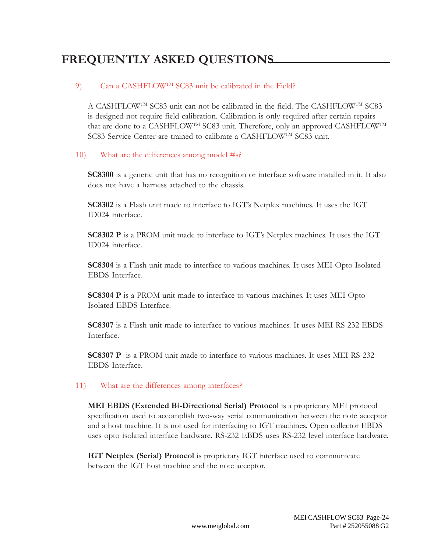#### 9) Can a CASHFLOW<sup>TM</sup> SC83 unit be calibrated in the Field?

A CASHFLOWTM SC83 unit can not be calibrated in the field. The CASHFLOWTM SC83 is designed not require field calibration. Calibration is only required after certain repairs that are done to a CASHFLOWTM SC83 unit. Therefore, only an approved CASHFLOWTM SC83 Service Center are trained to calibrate a CASHFLOW<sup>TM</sup> SC83 unit.

#### 10) What are the differences among model #s?

**SC8300** is a generic unit that has no recognition or interface software installed in it. It also does not have a harness attached to the chassis.

**SC8302** is a Flash unit made to interface to IGT's Netplex machines. It uses the IGT ID024 interface.

**SC8302 P** is a PROM unit made to interface to IGT's Netplex machines. It uses the IGT ID024 interface.

**SC8304** is a Flash unit made to interface to various machines. It uses MEI Opto Isolated EBDS Interface.

**SC8304 P** is a PROM unit made to interface to various machines. It uses MEI Opto Isolated EBDS Interface.

**SC8307** is a Flash unit made to interface to various machines. It uses MEI RS-232 EBDS Interface.

**SC8307 P** is a PROM unit made to interface to various machines. It uses MEI RS-232 EBDS Interface.

#### 11) What are the differences among interfaces?

**MEI EBDS (Extended Bi-Directional Serial) Protocol** is a proprietary MEI protocol specification used to accomplish two-way serial communication between the note acceptor and a host machine. It is not used for interfacing to IGT machines. Open collector EBDS uses opto isolated interface hardware. RS-232 EBDS uses RS-232 level interface hardware.

**IGT Netplex (Serial) Protocol** is proprietary IGT interface used to communicate between the IGT host machine and the note acceptor.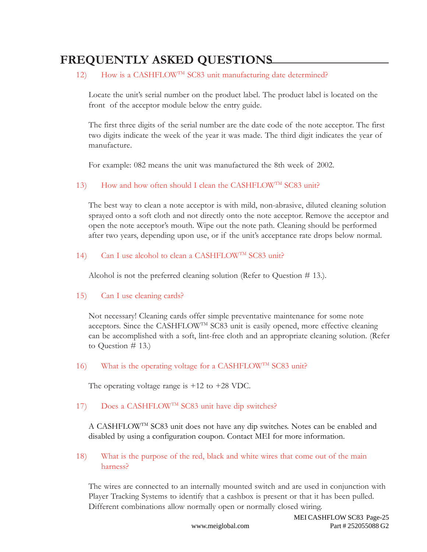### 12) How is a CASHFLOW<sup>TM</sup> SC83 unit manufacturing date determined?

Locate the unit's serial number on the product label. The product label is located on the front of the acceptor module below the entry guide.

The first three digits of the serial number are the date code of the note acceptor. The first two digits indicate the week of the year it was made. The third digit indicates the year of manufacture.

For example: 082 means the unit was manufactured the 8th week of 2002.

13) How and how often should I clean the CASHFLOW<sup>TM</sup> SC83 unit?

The best way to clean a note acceptor is with mild, non-abrasive, diluted cleaning solution sprayed onto a soft cloth and not directly onto the note acceptor. Remove the acceptor and open the note acceptor's mouth. Wipe out the note path. Cleaning should be performed after two years, depending upon use, or if the unit's acceptance rate drops below normal.

### 14) Can I use alcohol to clean a CASHFLOW<sup>TM</sup> SC83 unit?

Alcohol is not the preferred cleaning solution (Refer to Question # 13.).

#### 15) Can I use cleaning cards?

Not necessary! Cleaning cards offer simple preventative maintenance for some note acceptors. Since the CASHFLOWTM SC83 unit is easily opened, more effective cleaning can be accomplished with a soft, lint-free cloth and an appropriate cleaning solution. (Refer to Question # 13.)

#### 16) What is the operating voltage for a CASHFLOW<sup>TM</sup> SC83 unit?

The operating voltage range is +12 to +28 VDC.

### 17) Does a CASHFLOW<sup>TM</sup> SC83 unit have dip switches?

A CASHFLOWTM SC83 unit does not have any dip switches. Notes can be enabled and disabled by using a configuration coupon. Contact MEI for more information.

18) What is the purpose of the red, black and white wires that come out of the main harness?

The wires are connected to an internally mounted switch and are used in conjunction with Player Tracking Systems to identify that a cashbox is present or that it has been pulled. Different combinations allow normally open or normally closed wiring.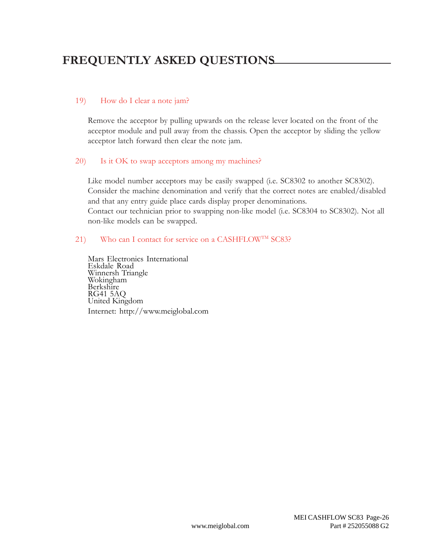#### 19) How do I clear a note jam?

Remove the acceptor by pulling upwards on the release lever located on the front of the acceptor module and pull away from the chassis. Open the acceptor by sliding the yellow acceptor latch forward then clear the note jam.

#### 20) Is it OK to swap acceptors among my machines?

Like model number acceptors may be easily swapped (i.e. SC8302 to another SC8302). Consider the machine denomination and verify that the correct notes are enabled/disabled and that any entry guide place cards display proper denominations. Contact our technician prior to swapping non-like model (i.e. SC8304 to SC8302). Not all non-like models can be swapped.

#### 21) Who can I contact for service on a CASHFLOW<sup>TM</sup> SC83?

Mars Electronics International Eskdale Road Winnersh Triangle Wokingham Berkshire RG41 5AQ United Kingdom Internet: http://www.meiglobal.com